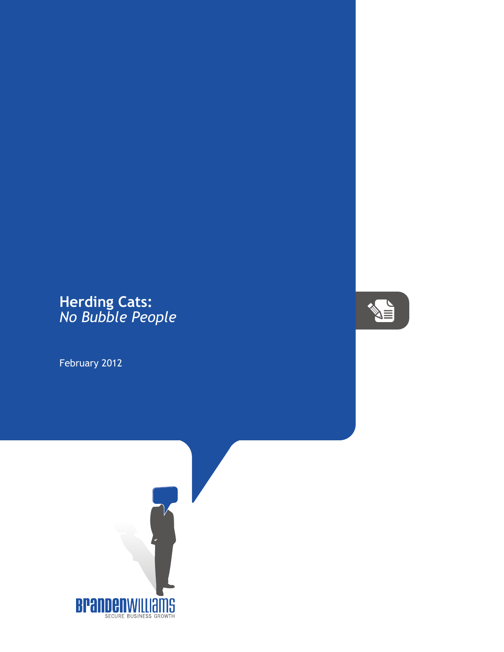## **Herding Cats:** *No Bubble People*

February 2012



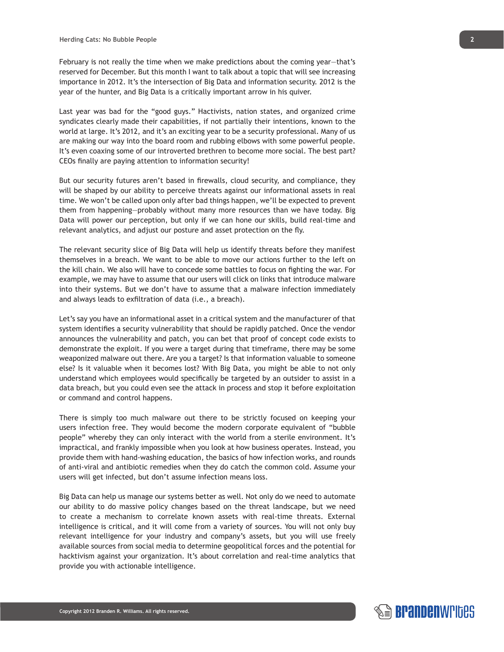February is not really the time when we make predictions about the coming year—that's reserved for December. But this month I want to talk about a topic that will see increasing importance in 2012. It's the intersection of Big Data and information security. 2012 is the year of the hunter, and Big Data is a critically important arrow in his quiver.

Last year was bad for the "good guys." Hactivists, nation states, and organized crime syndicates clearly made their capabilities, if not partially their intentions, known to the world at large. It's 2012, and it's an exciting year to be a security professional. Many of us are making our way into the board room and rubbing elbows with some powerful people. It's even coaxing some of our introverted brethren to become more social. The best part? CEOs finally are paying attention to information security!

But our security futures aren't based in firewalls, cloud security, and compliance, they will be shaped by our ability to perceive threats against our informational assets in real time. We won't be called upon only after bad things happen, we'll be expected to prevent them from happening—probably without many more resources than we have today. Big Data will power our perception, but only if we can hone our skills, build real-time and relevant analytics, and adjust our posture and asset protection on the fly.

The relevant security slice of Big Data will help us identify threats before they manifest themselves in a breach. We want to be able to move our actions further to the left on the kill chain. We also will have to concede some battles to focus on fighting the war. For example, we may have to assume that our users will click on links that introduce malware into their systems. But we don't have to assume that a malware infection immediately and always leads to exfiltration of data (i.e., a breach).

Let's say you have an informational asset in a critical system and the manufacturer of that system identifies a security vulnerability that should be rapidly patched. Once the vendor announces the vulnerability and patch, you can bet that proof of concept code exists to demonstrate the exploit. If you were a target during that timeframe, there may be some weaponized malware out there. Are you a target? Is that information valuable to someone else? Is it valuable when it becomes lost? With Big Data, you might be able to not only understand which employees would specifically be targeted by an outsider to assist in a data breach, but you could even see the attack in process and stop it before exploitation or command and control happens.

There is simply too much malware out there to be strictly focused on keeping your users infection free. They would become the modern corporate equivalent of "bubble people" whereby they can only interact with the world from a sterile environment. It's impractical, and frankly impossible when you look at how business operates. Instead, you provide them with hand-washing education, the basics of how infection works, and rounds of anti-viral and antibiotic remedies when they do catch the common cold. Assume your users will get infected, but don't assume infection means loss.

Big Data can help us manage our systems better as well. Not only do we need to automate our ability to do massive policy changes based on the threat landscape, but we need to create a mechanism to correlate known assets with real-time threats. External intelligence is critical, and it will come from a variety of sources. You will not only buy relevant intelligence for your industry and company's assets, but you will use freely available sources from social media to determine geopolitical forces and the potential for hacktivism against your organization. It's about correlation and real-time analytics that provide you with actionable intelligence.

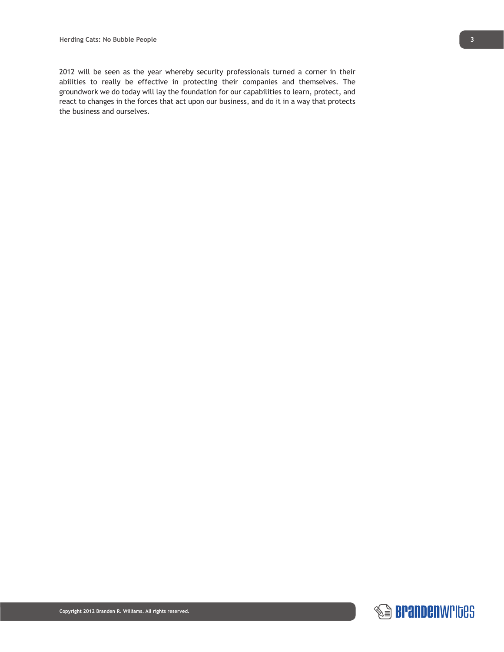2012 will be seen as the year whereby security professionals turned a corner in their abilities to really be effective in protecting their companies and themselves. The groundwork we do today will lay the foundation for our capabilities to learn, protect, and react to changes in the forces that act upon our business, and do it in a way that protects the business and ourselves.